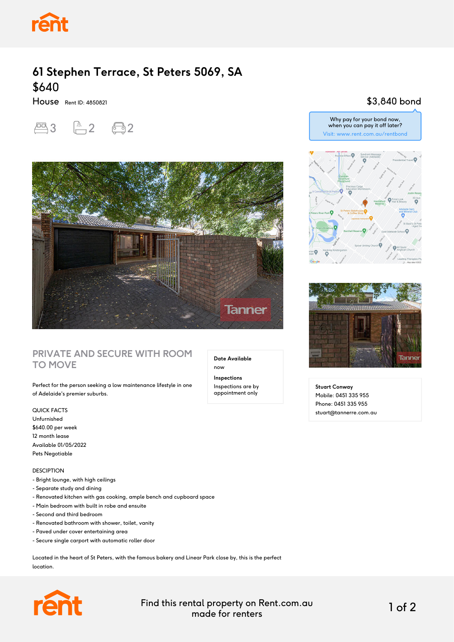

# **61 Stephen Terrace, St Peters 5069, SA** \$640

House Rent ID: 4850821





#### **PRIVATE AND SECURE WITH ROOM TO MOVE**

Perfect for the person seeking a low maintenance lifestyle in one of Adelaide's premier suburbs.

QUICK FACTS

Unfurnished \$640.00 per week 12 month lease Available 01/05/2022 Pets Negotiable

DESCIPTION

- Bright lounge, with high ceilings
- Separate study and dining
- Renovated kitchen with gas cooking, ample bench and cupboard space
- Main bedroom with built in robe and ensuite
- Second and third bedroom
- Renovated bathroom with shower, toilet, vanity
- Paved under cover entertaining area
- Secure single carport with automatic roller door

Located in the heart of St Peters, with the famous bakery and Linear Park close by, this is the perfect location.



Find this rental property on Rent.com.au made for renters 1 of 2

**Date Available**

now **Inspections** Inspections are by appointment only

### \$3,840 bond





**Stuart Conway** Mobile: 0451 335 955 Phone: 0451 335 955 stuart@tannerre.com.au